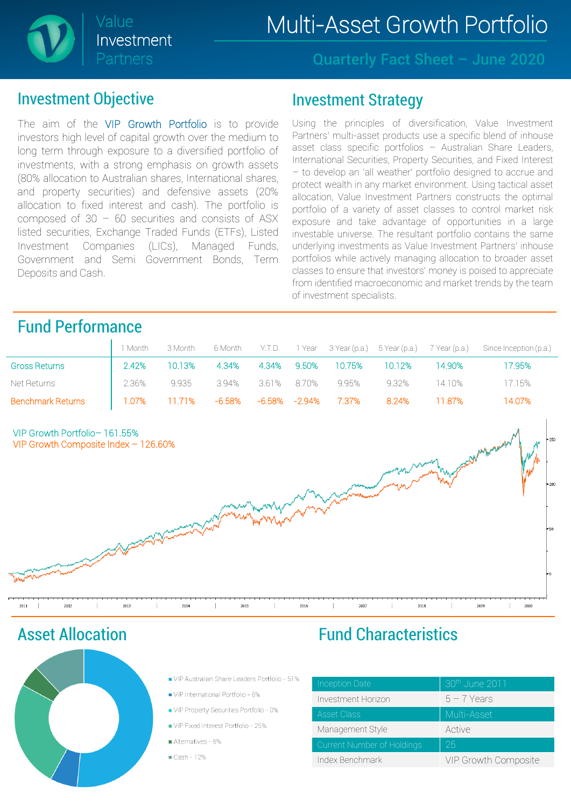

Quarterly Fact Sheet – June 2020

#### Investment Objective

The aim of the VIP Growth Portfolio is to provide investors high level of capital growth over the medium to long term through exposure to a diversified portfolio of investments, with a strong emphasis on growth assets (80% allocation to Australian shares, International shares, and property securities) and defensive assets (20% allocation to fixed interest and cash). The portfolio is composed of  $30 - 60$  securities and consists of ASX listed securities, Exchange Traded Funds (ETFs), Listed Investment Companies (LICs), Managed Funds, Government and Semi Government Bonds, Term Deposits and Cash.

#### Investment Strategy

Using the principles of diversification, Value Investment Partners' multi-asset products use a specific blend of inhouse asset class specific portfolios – Australian Share Leaders, International Securities, Property Securities, and Fixed Interest – to develop an 'all weather' portfolio designed to accrue and protect wealth in any market environment. Using tactical asset allocation, Value Investment Partners constructs the optimal portfolio of a variety of asset classes to control market risk exposure and take advantage of opportunities in a large investable universe. The resultant portfolio contains the same underlying investments as Value Investment Partners' inhouse portfolios while actively managing allocation to broader asset classes to ensure that investors' money is poised to appreciate from identified macroeconomic and market trends by the team of investment specialists.

### Fund Performance

|                          |                                                 |                         |  |       |                                        |        | 1 Month 3 Month 6 Month Y.T.D. 1 Year 3 Year (p.a.) 5 Year (p.a.) 7 Year (p.a.) Since Inception (p.a.) |
|--------------------------|-------------------------------------------------|-------------------------|--|-------|----------------------------------------|--------|--------------------------------------------------------------------------------------------------------|
| <b>Gross Returns</b>     | 2.42%                                           |                         |  |       | 10.13% 4.34% 4.34% 9.50% 10.75% 10.12% | 14.90% | 17.95%                                                                                                 |
| Net Returns              | $\frac{2.36\%}{2.36\%}$                         | 9.935 3.94% 3.61% 8.70% |  | 9.95% | 9.32% 14.10%                           |        | 17.15%                                                                                                 |
| <b>Benchmark Returns</b> | $\vert$ 1.07% 11.71% -6.58% -6.58% -2.94% 7.37% |                         |  |       | 8.24% 11.87%                           |        | 14.07%                                                                                                 |



Asset Allocation



- UP Australian Share Leaders Portfolio 51%
- VIP International Portfolio 6%
- VIP Property Securities Portfolio 0%
- VIP Fixed Interest Portfolio 25%
- Alternatives 5%
- $\blacksquare$  Cash 12%

### Fund Characteristics

| <b>Inception Date</b>      | 30th June 2011       |
|----------------------------|----------------------|
| Investment Horizon         | $b - 7$ Years        |
| <b>Asset Class</b>         | Multi-Asset          |
| Management Style           | Active               |
| Current Number of Holdings | 25                   |
| Index Benchmark            | VIP Growth Composite |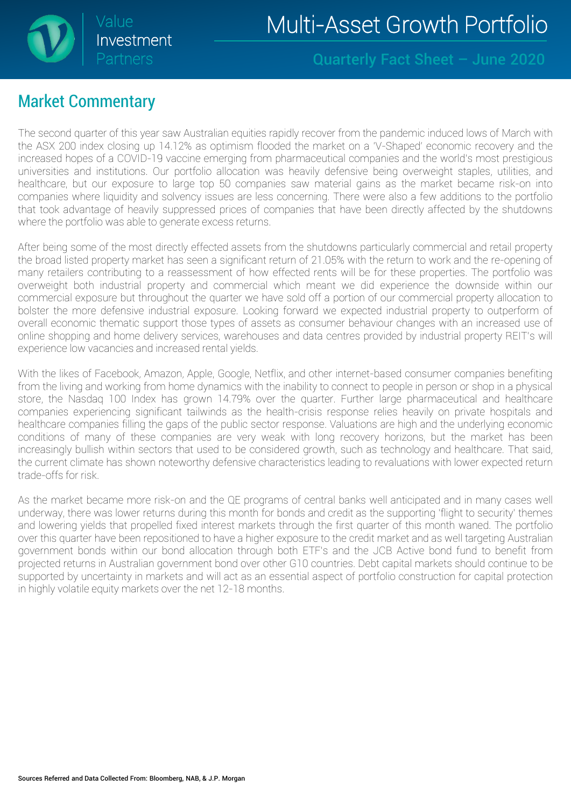

#### Quarterly Fact Sheet – June 2020

### Market Commentary

The second quarter of this year saw Australian equities rapidly recover from the pandemic induced lows of March with the ASX 200 index closing up 14.12% as optimism flooded the market on a 'V-Shaped' economic recovery and the increased hopes of a COVID-19 vaccine emerging from pharmaceutical companies and the world's most prestigious universities and institutions. Our portfolio allocation was heavily defensive being overweight staples, utilities, and healthcare, but our exposure to large top 50 companies saw material gains as the market became risk-on into companies where liquidity and solvency issues are less concerning. There were also a few additions to the portfolio that took advantage of heavily suppressed prices of companies that have been directly affected by the shutdowns where the portfolio was able to generate excess returns.

After being some of the most directly effected assets from the shutdowns particularly commercial and retail property the broad listed property market has seen a significant return of 21.05% with the return to work and the re-opening of many retailers contributing to a reassessment of how effected rents will be for these properties. The portfolio was overweight both industrial property and commercial which meant we did experience the downside within our commercial exposure but throughout the quarter we have sold off a portion of our commercial property allocation to bolster the more defensive industrial exposure. Looking forward we expected industrial property to outperform of overall economic thematic support those types of assets as consumer behaviour changes with an increased use of online shopping and home delivery services, warehouses and data centres provided by industrial property REIT's will experience low vacancies and increased rental yields.

With the likes of Facebook, Amazon, Apple, Google, Netflix, and other internet-based consumer companies benefiting from the living and working from home dynamics with the inability to connect to people in person or shop in a physical store, the Nasdaq 100 Index has grown 14.79% over the quarter. Further large pharmaceutical and healthcare companies experiencing significant tailwinds as the health-crisis response relies heavily on private hospitals and healthcare companies filling the gaps of the public sector response. Valuations are high and the underlying economic conditions of many of these companies are very weak with long recovery horizons, but the market has been increasingly bullish within sectors that used to be considered growth, such as technology and healthcare. That said, the current climate has shown noteworthy defensive characteristics leading to revaluations with lower expected return trade-offs for risk.

As the market became more risk-on and the QE programs of central banks well anticipated and in many cases well underway, there was lower returns during this month for bonds and credit as the supporting 'flight to security' themes and lowering yields that propelled fixed interest markets through the first quarter of this month waned. The portfolio over this quarter have been repositioned to have a higher exposure to the credit market and as well targeting Australian government bonds within our bond allocation through both ETF's and the JCB Active bond fund to benefit from projected returns in Australian government bond over other G10 countries. Debt capital markets should continue to be supported by uncertainty in markets and will act as an essential aspect of portfolio construction for capital protection in highly volatile equity markets over the net 12-18 months.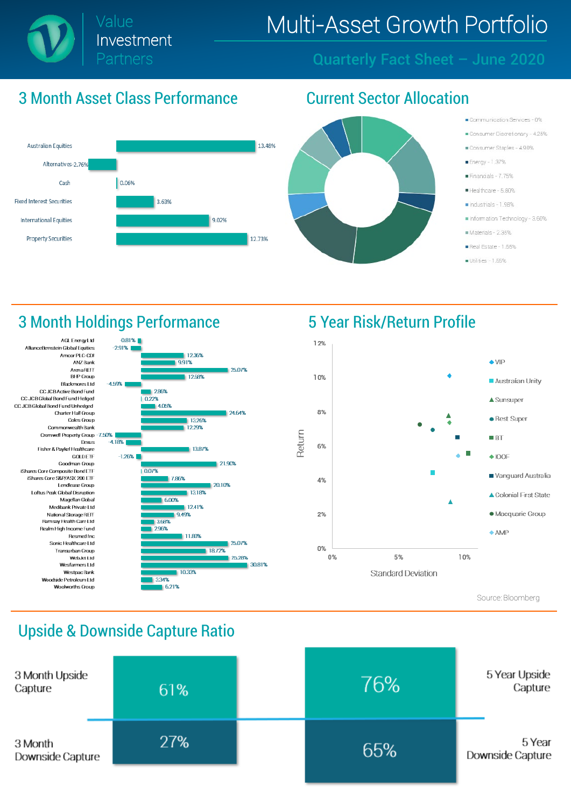

#### Quarterly Fact Sheet – June 2020

### 3 Month Asset Class Performance Current Sector Allocation





- Communication Services 0%
- Consumer Discretionary 4.25%
- Consumer Staples 4.90%
- Energy 1.37%
- Financials 7 75%
- Healthcare 5.80%
- Industrials 1.98%
- Information Technology 3.60%
- Materials 2.35%
- Real Estate 1,65%
- Utilities 1.55%

### 3 Month Holdings Performance 5 Year Risk/Return Profile







Source: Bloomberg

### Upside & Downside Capture Ratio

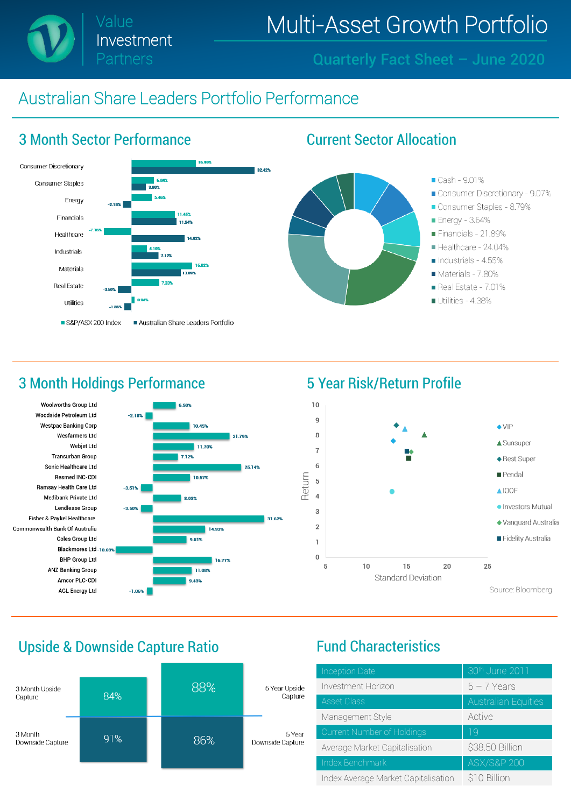Value Investment Partners

## Multi-Asset Growth Portfolio

Quarterly Fact Sheet – June 2020

### Australian Share Leaders Portfolio Performance



### 3 Month Holdings Performance **5 Year Risk/Return Profile**





#### Upside & Downside Capture Ratio Fund Characteristics



| Inception Date                      | 30th June 2011             |  |
|-------------------------------------|----------------------------|--|
| Investment Horizon                  | $5 - 7$ Years              |  |
| <b>Asset Class</b>                  | <b>Australian Equities</b> |  |
| Management Style                    | Active                     |  |
| Current Number of Holdings          | 19                         |  |
| Average Market Capitalisation       | \$38.50 Billion            |  |
| Index Benchmark                     | <b>ASX/S&amp;P 200</b>     |  |
| Index Average Market Capitalisation | \$10 Billion               |  |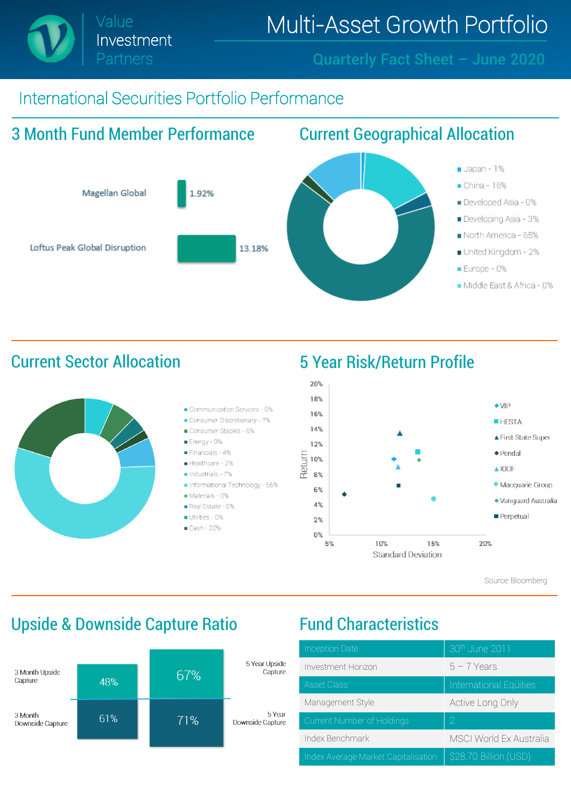# International Securities Portfolio Performance





Source: Bloomberg

## Upside & Downside Capture Ratio Fund Characteristics



| <b>Inception Date</b>               | 30th June 2011                 |  |  |
|-------------------------------------|--------------------------------|--|--|
| Investment Horizon                  | $5 - 7$ Years                  |  |  |
| <b>Asset Class</b>                  | <b>International Equities</b>  |  |  |
| Management Style                    | Active Long Only               |  |  |
| Current Number of Holdings          | 2                              |  |  |
| Index Benchmark                     | <b>MSCI World Ex Australia</b> |  |  |
| Index Average Market Capitalisation | \$28.70 Billion (USD)          |  |  |

### Current Sector Allocation 5 Year Risk/Return Profile



Investment Partners

Quarterly Fact Sheet – June 2020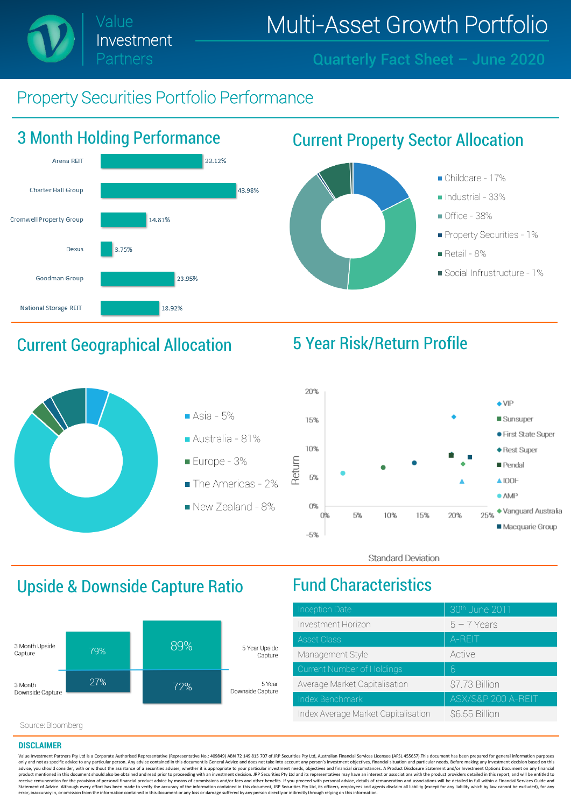Quarterly Fact Sheet – June 2020

## Property Securities Portfolio Performance

Investment

Partners



## Current Geographical Allocation 5 Year Risk/Return Profile





**Standard Deviation** 

## Upside & Downside Capture Ratio Fund Characteristics



| <b>Inception Date</b>               | 30th June 2011     |  |
|-------------------------------------|--------------------|--|
| Investment Horizon                  | $5 - 7$ Years      |  |
| <b>Asset Class</b>                  | A-REIT             |  |
| Management Style                    | Active             |  |
| Current Number of Holdings          | 6                  |  |
| Average Market Capitalisation       | \$7.73 Billion     |  |
| Index Benchmark                     | ASX/S&P 200 A-REIT |  |
| Index Average Market Capitalisation | \$6.55 Billion     |  |

Source: Bloomberg

#### **DISCLAIMER**

Value Investment Partners Pty Ltd is a Corporate Authorised Representative (Representative No.: 409849) ABN 72 149 815 707 of JRP Securities Pty Ltd, Australian Financial Services Licensee (AFSL 455657). This document has only and not as specific advice to any particular person. Any advice contained in this document is General Advice and does not take into account any person's investment objectives, financial situation and particular needs. advice, you should consider, with or without the assistance of a securities adviser, whether it is appropriate to your particular investment needs, objectives and financial circumstances. A Product Disclosure Statement and Statement of Advice. Although every effort has been made to verify the accuracy of the information contained in this document, JRP Securities Pty Ltd, its officers, employees and agents disclaim all liability (except for a error, inaccuracy in, or omission from the information contained in this document or any loss or damage suffered by any person directly or indirectly through relying on thisinformation.